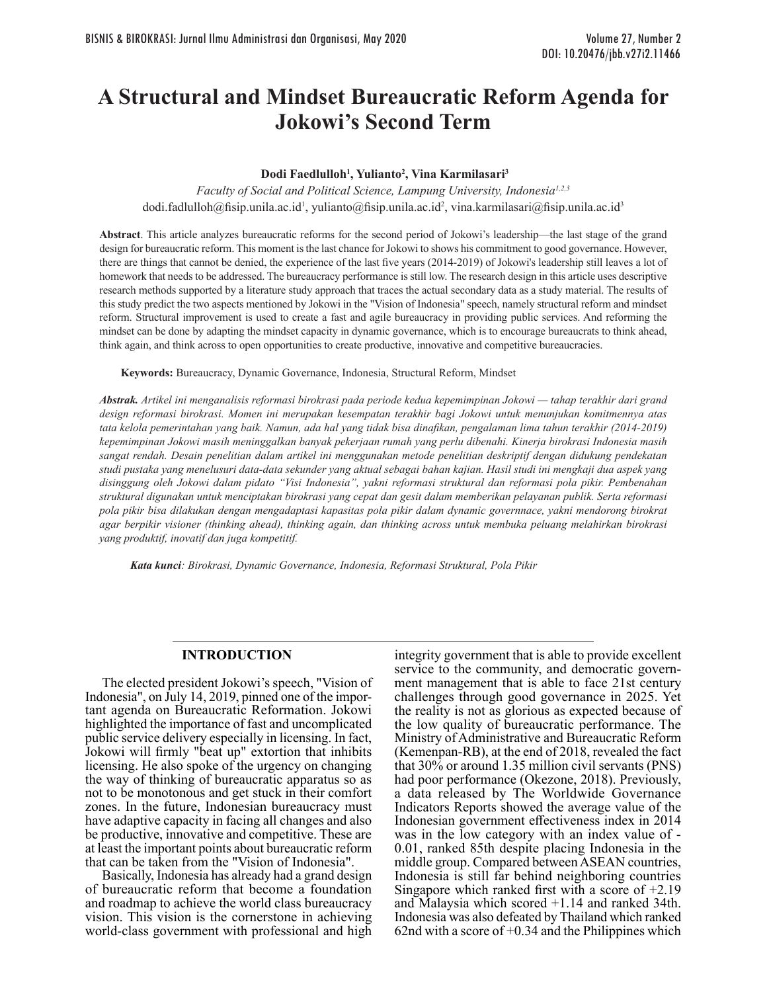# **A Structural and Mindset Bureaucratic Reform Agenda for Jokowi's Second Term**

### **Dodi Faedlulloh1 , Yulianto2 , Vina Karmilasari3**

*Faculty of Social and Political Science, Lampung University, Indonesia1,2,3* dodi.fadlulloh@fisip.unila.ac.id<sup>1</sup>, yulianto@fisip.unila.ac.id<sup>2</sup>, vina.karmilasari@fisip.unila.ac.id<sup>3</sup>

**Abstract**. This article analyzes bureaucratic reforms for the second period of Jokowi's leadership—the last stage of the grand design for bureaucratic reform. This moment is the last chance for Jokowi to shows his commitment to good governance. However, there are things that cannot be denied, the experience of the last five years (2014-2019) of Jokowi's leadership still leaves a lot of homework that needs to be addressed. The bureaucracy performance is still low. The research design in this article uses descriptive research methods supported by a literature study approach that traces the actual secondary data as a study material. The results of this study predict the two aspects mentioned by Jokowi in the "Vision of Indonesia" speech, namely structural reform and mindset reform. Structural improvement is used to create a fast and agile bureaucracy in providing public services. And reforming the mindset can be done by adapting the mindset capacity in dynamic governance, which is to encourage bureaucrats to think ahead, think again, and think across to open opportunities to create productive, innovative and competitive bureaucracies.

**Keywords:** Bureaucracy, Dynamic Governance, Indonesia, Structural Reform, Mindset

*Abstrak. Artikel ini menganalisis reformasi birokrasi pada periode kedua kepemimpinan Jokowi — tahap terakhir dari grand design reformasi birokrasi. Momen ini merupakan kesempatan terakhir bagi Jokowi untuk menunjukan komitmennya atas tata kelola pemerintahan yang baik. Namun, ada hal yang tidak bisa dinafikan, pengalaman lima tahun terakhir (2014-2019) kepemimpinan Jokowi masih meninggalkan banyak pekerjaan rumah yang perlu dibenahi. Kinerja birokrasi Indonesia masih sangat rendah. Desain penelitian dalam artikel ini menggunakan metode penelitian deskriptif dengan didukung pendekatan studi pustaka yang menelusuri data-data sekunder yang aktual sebagai bahan kajian. Hasil studi ini mengkaji dua aspek yang disinggung oleh Jokowi dalam pidato "Visi Indonesia", yakni reformasi struktural dan reformasi pola pikir. Pembenahan struktural digunakan untuk menciptakan birokrasi yang cepat dan gesit dalam memberikan pelayanan publik. Serta reformasi pola pikir bisa dilakukan dengan mengadaptasi kapasitas pola pikir dalam dynamic governnace, yakni mendorong birokrat agar berpikir visioner (thinking ahead), thinking again, dan thinking across untuk membuka peluang melahirkan birokrasi yang produktif, inovatif dan juga kompetitif.*

*Kata kunci: Birokrasi, Dynamic Governance, Indonesia, Reformasi Struktural, Pola Pikir* 

## **INTRODUCTION**

The elected president Jokowi's speech, "Vision of Indonesia", on July 14, 2019, pinned one of the important agenda on Bureaucratic Reformation. Jokowi highlighted the importance of fast and uncomplicated public service delivery especially in licensing. In fact, Jokowi will firmly "beat up" extortion that inhibits licensing. He also spoke of the urgency on changing the way of thinking of bureaucratic apparatus so as not to be monotonous and get stuck in their comfort zones. In the future, Indonesian bureaucracy must have adaptive capacity in facing all changes and also be productive, innovative and competitive. These are at least the important points about bureaucratic reform that can be taken from the "Vision of Indonesia".

Basically, Indonesia has already had a grand design of bureaucratic reform that become a foundation and roadmap to achieve the world class bureaucracy vision. This vision is the cornerstone in achieving world-class government with professional and high

integrity government that is able to provide excellent service to the community, and democratic government management that is able to face 21st century challenges through good governance in 2025. Yet the reality is not as glorious as expected because of the low quality of bureaucratic performance. The Ministry of Administrative and Bureaucratic Reform (Kemenpan-RB), at the end of 2018, revealed the fact that 30% or around 1.35 million civil servants (PNS) had poor performance (Okezone, 2018). Previously, a data released by The Worldwide Governance Indicators Reports showed the average value of the Indonesian government effectiveness index in 2014 was in the low category with an index value of -0.01, ranked 85th despite placing Indonesia in the middle group. Compared between ASEAN countries, Indonesia is still far behind neighboring countries Singapore which ranked first with a score of +2.19 and Malaysia which scored +1.14 and ranked 34th. Indonesia was also defeated by Thailand which ranked 62nd with a score of  $+0.34$  and the Philippines which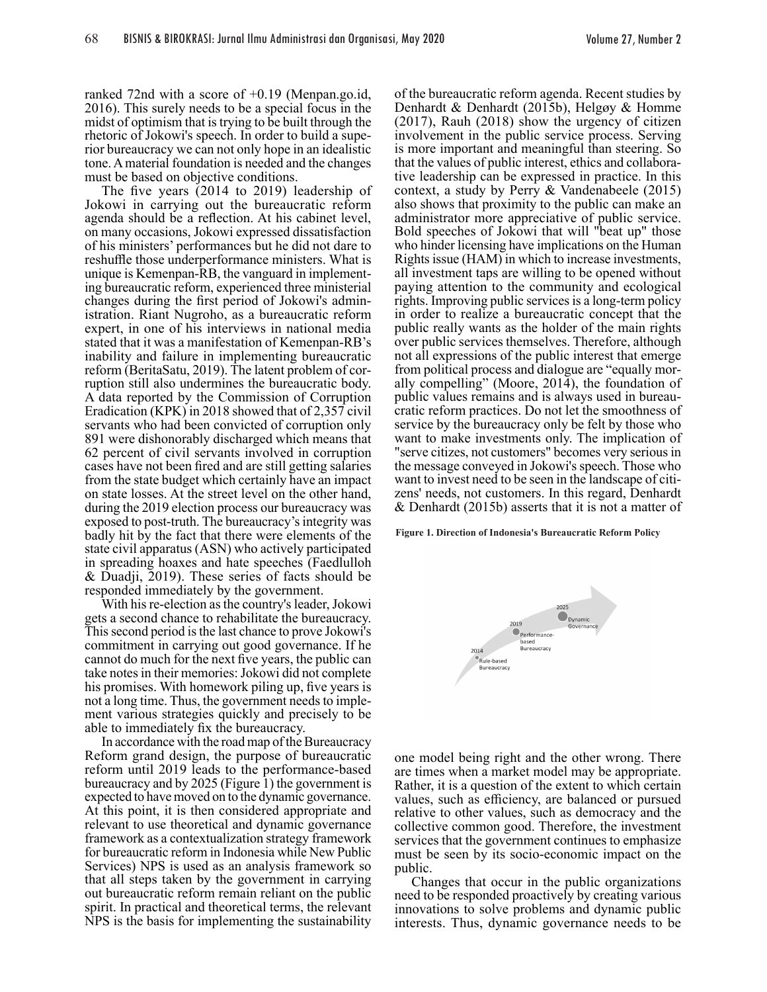ranked 72nd with a score of +0.19 (Menpan.go.id, 2016). This surely needs to be a special focus in the midst of optimism that is trying to be built through the rhetoric of Jokowi's speech. In order to build a superior bureaucracy we can not only hope in an idealistic tone. A material foundation is needed and the changes must be based on objective conditions.

The five years (2014 to 2019) leadership of Jokowi in carrying out the bureaucratic reform agenda should be a reflection. At his cabinet level, on many occasions, Jokowi expressed dissatisfaction of his ministers' performances but he did not dare to reshuffle those underperformance ministers. What is unique is Kemenpan-RB, the vanguard in implementing bureaucratic reform, experienced three ministerial changes during the first period of Jokowi's administration. Riant Nugroho, as a bureaucratic reform expert, in one of his interviews in national media stated that it was a manifestation of Kemenpan-RB's inability and failure in implementing bureaucratic reform (BeritaSatu, 2019). The latent problem of cor ruption still also undermines the bureaucratic body. A data reported by the Commission of Corruption Eradication (KPK) in 2018 showed that of 2,357 civil servants who had been convicted of corruption only 891 were dishonorably discharged which means that 62 percent of civil servants involved in corruption cases have not been fired and are still getting salaries from the state budget which certainly have an impact on state losses. At the street level on the other hand, during the 2019 election process our bureaucracy was exposed to post-truth. The bureaucracy's integrity was badly hit by the fact that there were elements of the state civil apparatus (ASN) who actively participated in spreading hoaxes and hate speeches (Faedlulloh & Duadji, 2019). These series of facts should be responded immediately by the government.

With his re-election as the country's leader, Jokowi gets a second chance to rehabilitate the bureaucracy. This second period is the last chance to prove Jokowi's commitment in carrying out good governance. If he cannot do much for the next five years, the public can take notes in their memories: Jokowi did not complete his promises. With homework piling up, five years is not a long time. Thus, the government needs to imple ment various strategies quickly and precisely to be able to immediately fix the bureaucracy.

In accordance with the road map of the Bureaucracy Reform grand design, the purpose of bureaucratic reform until 2019 leads to the performance-based bureaucracy and by 2025 (Figure  $\overline{1}$ ) the government is expected to have moved on to the dynamic governance. At this point, it is then considered appropriate and relevant to use theoretical and dynamic governance framework as a contextualization strategy framework for bureaucratic reform in Indonesia while New Public Services) NPS is used as an analysis framework so that all steps taken by the government in carrying out bureaucratic reform remain reliant on the public spirit. In practical and theoretical terms, the relevant NPS is the basis for implementing the sustainability of the bureaucratic reform agenda. Recent studies by Denhardt & Denhardt (2015b), Helgøy & Homme (2017), Rauh (2018) show the urgency of citizen involvement in the public service process. Serving is more important and meaningful than steering. So that the values of public interest, ethics and collaborative leadership can be expressed in practice. In this context, a study by Perry & Vandenabeele (2015) also shows that proximity to the public can make an administrator more appreciative of public service. Bold speeches of Jokowi that will "beat up" those who hinder licensing have implications on the Human Rights issue (HAM) in which to increase investments, all investment taps are willing to be opened without paying attention to the community and ecological rights. Improving public services is a long-term policy in order to realize a bureaucratic concept that the public really wants as the holder of the main rights over public services themselves. Therefore, although not all expressions of the public interest that emerge from political process and dialogue are "equally morally compelling" (Moore, 2014), the foundation of public values remains and is always used in bureau- cratic reform practices. Do not let the smoothness of service by the bureaucracy only be felt by those who want to make investments only. The implication of "serve citizes, not customers" becomes very serious in the message conveyed in Jokowi's speech. Those who want to invest need to be seen in the landscape of citizens' needs, not customers. In this regard, Denhardt & Denhardt (2015b) asserts that it is not a matter of

**Figure 1. Direction of Indonesia's Bureaucratic Reform Policy**



one model being right and the other wrong. There are times when a market model may be appropriate. Rather, it is a question of the extent to which certain values, such as efficiency, are balanced or pursued relative to other values, such as democracy and the collective common good. Therefore, the investment services that the government continues to emphasize must be seen by its socio-economic impact on the public.

Changes that occur in the public organizations need to be responded proactively by creating various innovations to solve problems and dynamic public interests. Thus, dynamic governance needs to be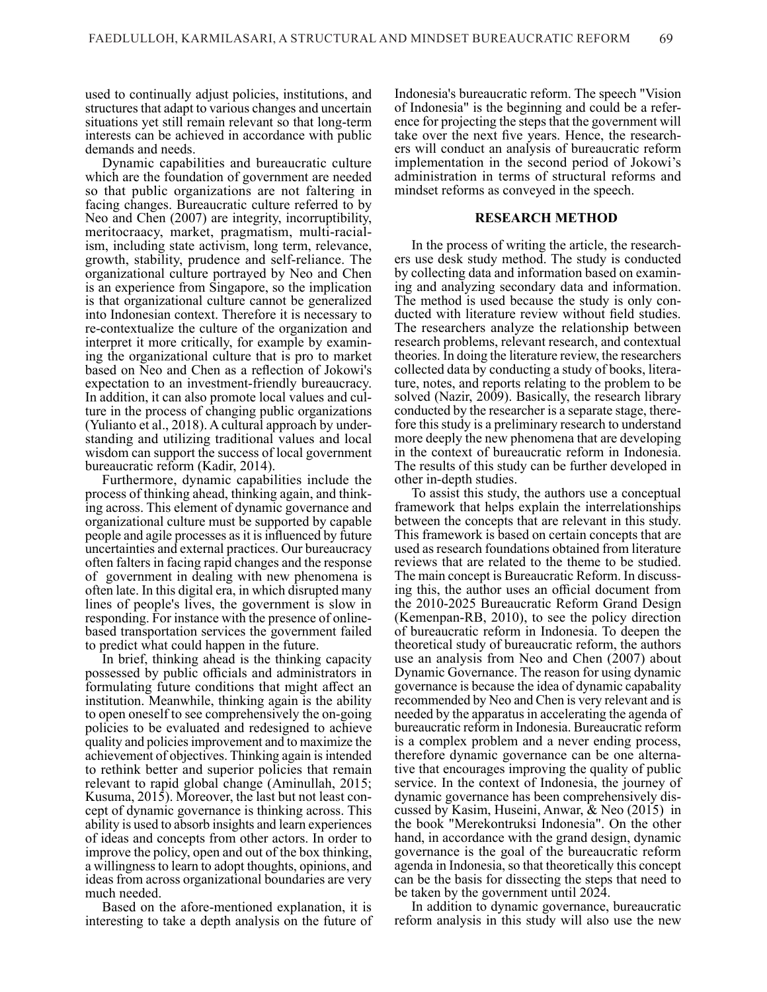used to continually adjust policies, institutions, and structures that adapt to various changes and uncertain situations yet still remain relevant so that long-term interests can be achieved in accordance with public demands and needs.

Dynamic capabilities and bureaucratic culture which are the foundation of government are needed so that public organizations are not faltering in facing changes. Bureaucratic culture referred to by Neo and Chen (2007) are integrity, incorruptibility, meritocraacy, market, pragmatism, multi-racialism, including state activism, long term, relevance, growth, stability, prudence and self-reliance. The organizational culture portrayed by Neo and Chen is an experience from Singapore, so the implication is that organizational culture cannot be generalized into Indonesian context. Therefore it is necessary to re-contextualize the culture of the organization and interpret it more critically, for example by examin- ing the organizational culture that is pro to market based on Neo and Chen as a reflection of Jokowi's expectation to an investment-friendly bureaucracy. In addition, it can also promote local values and cul- ture in the process of changing public organizations (Yulianto et al., 2018). A cultural approach by under- standing and utilizing traditional values and local wisdom can support the success of local government bureaucratic reform (Kadir, 2014).

Furthermore, dynamic capabilities include the process of thinking ahead, thinking again, and think- ing across. This element of dynamic governance and organizational culture must be supported by capable people and agile processes as it is influenced by future uncertainties and external practices. Our bureaucracy often falters in facing rapid changes and the response of government in dealing with new phenomena is often late. In this digital era, in which disrupted many lines of people's lives, the government is slow in responding. For instance with the presence of onlinebased transportation services the government failed to predict what could happen in the future.

In brief, thinking ahead is the thinking capacity possessed by public officials and administrators in formulating future conditions that might affect an institution. Meanwhile, thinking again is the ability to open oneself to see comprehensively the on-going policies to be evaluated and redesigned to achieve quality and policies improvement and to maximize the achievement of objectives. Thinking again is intended to rethink better and superior policies that remain relevant to rapid global change (Aminullah, 2015; Kusuma, 2015). Moreover, the last but not least concept of dynamic governance is thinking across. This ability is used to absorb insights and learn experiences of ideas and concepts from other actors. In order to improve the policy, open and out of the box thinking, a willingness to learn to adopt thoughts, opinions, and ideas from across organizational boundaries are very much needed.

Based on the afore-mentioned explanation, it is interesting to take a depth analysis on the future of Indonesia's bureaucratic reform. The speech "Vision of Indonesia" is the beginning and could be a refer ence for projecting the steps that the government will take over the next five years. Hence, the researchers will conduct an analysis of bureaucratic reform implementation in the second period of Jokowi's administration in terms of structural reforms and mindset reforms as conveyed in the speech.

#### **RESEARCH METHOD**

In the process of writing the article, the research- ers use desk study method. The study is conducted by collecting data and information based on examin- ing and analyzing secondary data and information. The method is used because the study is only con- ducted with literature review without field studies. The researchers analyze the relationship between research problems, relevant research, and contextual theories. In doing the literature review, the researchers collected data by conducting a study of books, litera- ture, notes, and reports relating to the problem to be solved (Nazir, 2009). Basically, the research library conducted by the researcher is a separate stage, there fore this study is a preliminary research to understand more deeply the new phenomena that are developing in the context of bureaucratic reform in Indonesia. The results of this study can be further developed in other in-depth studies.

To assist this study, the authors use a conceptual framework that helps explain the interrelationships between the concepts that are relevant in this study. This framework is based on certain concepts that are used as research foundations obtained from literature reviews that are related to the theme to be studied. The main concept is Bureaucratic Reform. In discussing this, the author uses an official document from the 2010-2025 Bureaucratic Reform Grand Design (Kemenpan-RB, 2010), to see the policy direction of bureaucratic reform in Indonesia. To deepen the theoretical study of bureaucratic reform, the authors use an analysis from Neo and Chen (2007) about Dynamic Governance. The reason for using dynamic governance is because the idea of dynamic capabality recommended by Neo and Chen is very relevant and is needed by the apparatus in accelerating the agenda of bureaucratic reform in Indonesia. Bureaucratic reform is a complex problem and a never ending process, therefore dynamic governance can be one alternative that encourages improving the quality of public service. In the context of Indonesia, the journey of dynamic governance has been comprehensively discussed by Kasim, Huseini, Anwar, & Neo (2015) in the book "Merekontruksi Indonesia". On the other hand, in accordance with the grand design, dynamic governance is the goal of the bureaucratic reform agenda in Indonesia, so that theoretically this concept can be the basis for dissecting the steps that need to be taken by the government until 2024.

In addition to dynamic governance, bureaucratic reform analysis in this study will also use the new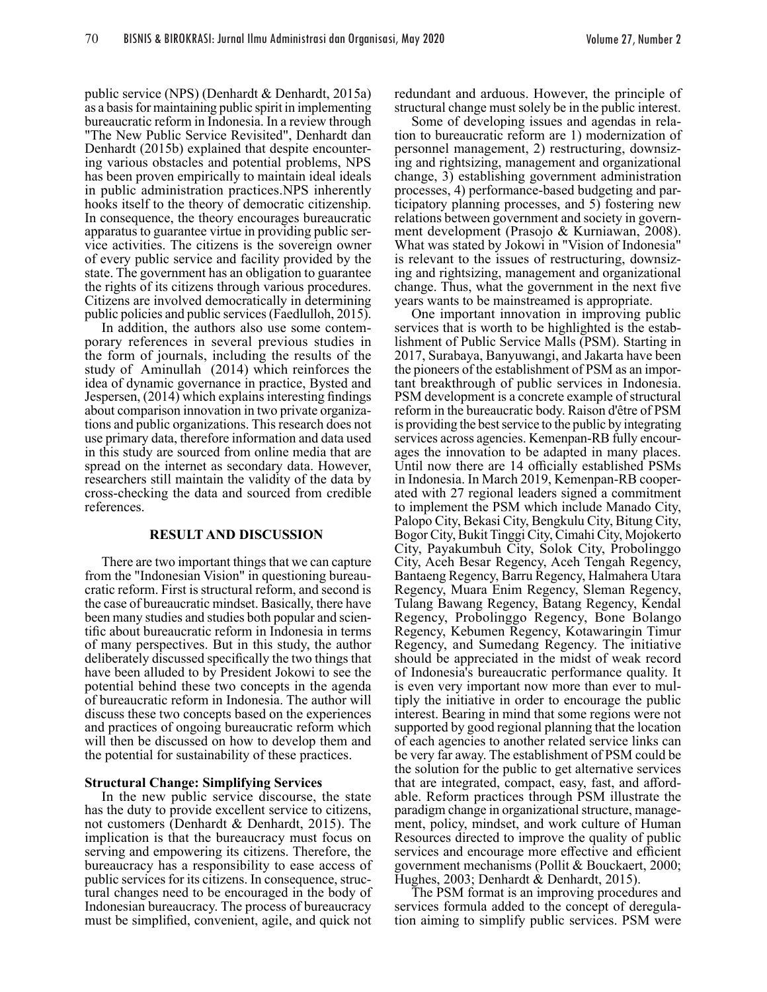public service (NPS) (Denhardt & Denhardt, 2015a) as a basis for maintaining public spirit in implementing bureaucratic reform in Indonesia. In a review through "The New Public Service Revisited", Denhardt dan Denhardt (2015b) explained that despite encounter- ing various obstacles and potential problems, NPS has been proven empirically to maintain ideal ideals in public administration practices.NPS inherently hooks itself to the theory of democratic citizenship. In consequence, the theory encourages bureaucratic apparatus to guarantee virtue in providing public service activities. The citizens is the sovereign owner of every public service and facility provided by the state. The government has an obligation to guarantee the rights of its citizens through various procedures. Citizens are involved democratically in determining public policies and public services (Faedlulloh, 2015).

In addition, the authors also use some contemporary references in several previous studies in the form of journals, including the results of the study of Aminullah (2014) which reinforces the idea of dynamic governance in practice, Bysted and Jespersen, (2014) which explains interesting findings about comparison innovation in two private organiza tions and public organizations. This research does not use primary data, therefore information and data used in this study are sourced from online media that are spread on the internet as secondary data. However, researchers still maintain the validity of the data by cross-checking the data and sourced from credible references.

#### **RESULT AND DISCUSSION**

There are two important things that we can capture from the "Indonesian Vision" in questioning bureaucratic reform. First is structural reform, and second is the case of bureaucratic mindset. Basically, there have been many studies and studies both popular and scientific about bureaucratic reform in Indonesia in terms of many perspectives. But in this study, the author deliberately discussed specifically the two things that have been alluded to by President Jokowi to see the potential behind these two concepts in the agenda of bureaucratic reform in Indonesia. The author will discuss these two concepts based on the experiences and practices of ongoing bureaucratic reform which will then be discussed on how to develop them and the potential for sustainability of these practices.

#### **Structural Change: Simplifying Services**

In the new public service discourse, the state has the duty to provide excellent service to citizens, not customers (Denhardt & Denhardt, 2015). The implication is that the bureaucracy must focus on serving and empowering its citizens. Therefore, the bureaucracy has a responsibility to ease access of public services for its citizens. In consequence, structural changes need to be encouraged in the body of Indonesian bureaucracy. The process of bureaucracy must be simplified, convenient, agile, and quick not

redundant and arduous. However, the principle of structural change must solely be in the public interest.

Some of developing issues and agendas in relation to bureaucratic reform are 1) modernization of personnel management, 2) restructuring, downsizing and rightsizing, management and organizational change, 3) establishing government administration processes, 4) performance-based budgeting and par- ticipatory planning processes, and 5) fostering new relations between government and society in government development (Prasojo & Kurniawan, 2008). What was stated by Jokowi in "Vision of Indonesia" is relevant to the issues of restructuring, downsiz- ing and rightsizing, management and organizational change. Thus, what the government in the next five years wants to be mainstreamed is appropriate.

One important innovation in improving public services that is worth to be highlighted is the estab- lishment of Public Service Malls (PSM). Starting in 2017, Surabaya, Banyuwangi, and Jakarta have been the pioneers of the establishment of PSM as an important breakthrough of public services in Indonesia. PSM development is a concrete example of structural reform in the bureaucratic body. Raison d'être of PSM is providing the best service to the public by integrating services across agencies. Kemenpan-RB fully encour- ages the innovation to be adapted in many places. Until now there are 14 officially established PSMs in Indonesia. In March 2019, Kemenpan-RB cooperated with 27 regional leaders signed a commitment to implement the PSM which include Manado City, Palopo City, Bekasi City, Bengkulu City, Bitung City, Bogor City, Bukit Tinggi City, Cimahi City, Mojokerto City, Payakumbuh City, Solok City, Probolinggo City, Aceh Besar Regency, Aceh Tengah Regency, Bantaeng Regency, Barru Regency, Halmahera Utara Regency, Muara Enim Regency, Sleman Regency, Tulang Bawang Regency, Batang Regency, Kendal Regency, Probolinggo Regency, Bone Bolango Regency, Kebumen Regency, Kotawaringin Timur Regency, and Sumedang Regency. The initiative should be appreciated in the midst of weak record of Indonesia's bureaucratic performance quality. It is even very important now more than ever to multiply the initiative in order to encourage the public interest. Bearing in mind that some regions were not supported by good regional planning that the location of each agencies to another related service links can be very far away. The establishment of PSM could be the solution for the public to get alternative services that are integrated, compact, easy, fast, and affordable. Reform practices through PSM illustrate the paradigm change in organizational structure, management, policy, mindset, and work culture of Human Resources directed to improve the quality of public services and encourage more effective and efficient government mechanisms (Pollit & Bouckaert, 2000; Hughes, 2003; Denhardt & Denhardt, 2015).

The PSM format is an improving procedures and services formula added to the concept of deregula- tion aiming to simplify public services. PSM were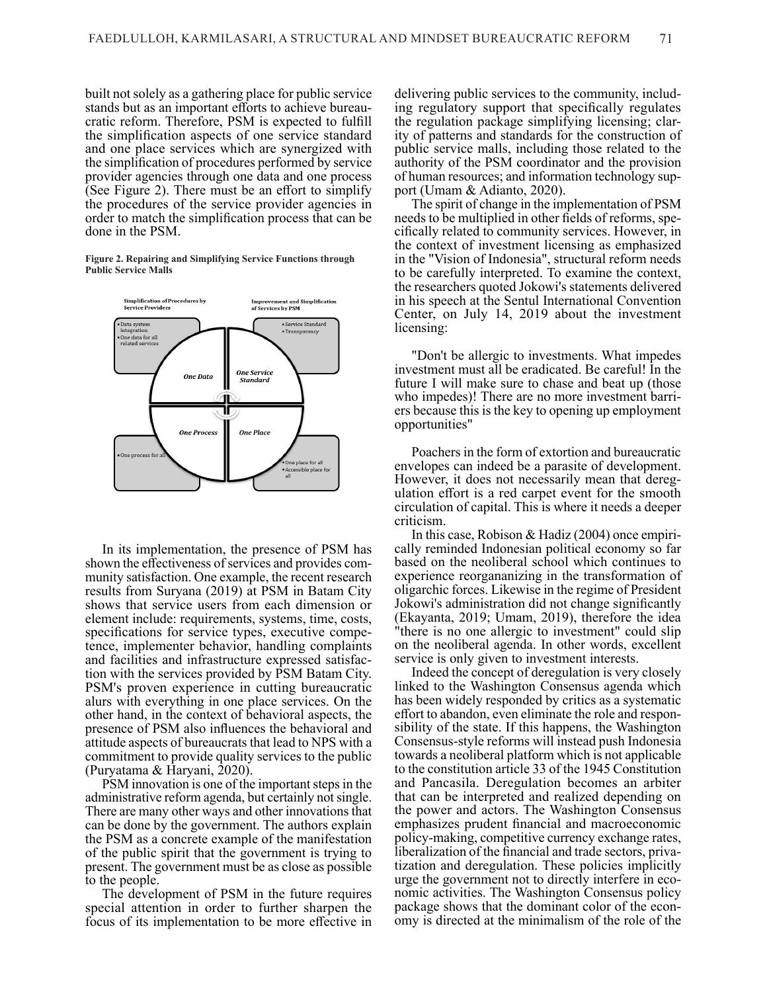built not solely as a gathering place for public service stands but as an important efforts to achieve bureau- cratic reform. Therefore, PSM is expected to fulfill the simplification aspects of one service standard and one place services which are synergized with the simplification of procedures performed by service provider agencies through one data and one process (See Figure 2). There must be an effort to simplify the procedures of the service provider agencies in order to match the simplification process that can be done in the PSM.

**Figure 2. Repairing and Simplifying Service Functions through Public Service Malls**



In its implementation, the presence of PSM has shown the effectiveness of services and provides com munity satisfaction. One example, the recent research results from Suryana (2019) at PSM in Batam City shows that service users from each dimension or element include: requirements, systems, time, costs, specifications for service types, executive competence, implementer behavior, handling complaints and facilities and infrastructure expressed satisfaction with the services provided by PSM Batam City. PSM's proven experience in cutting bureaucratic alurs with everything in one place services. On the other hand, in the context of behavioral aspects, the presence of PSM also influences the behavioral and attitude aspects of bureaucrats that lead to NPS with a commitment to provide quality services to the public (Puryatama & Haryani, 2020).

PSM innovation is one of the important steps in the administrative reform agenda, but certainly not single. There are many other ways and other innovations that can be done by the government. The authors explain the PSM as a concrete example of the manifestation of the public spirit that the government is trying to present. The government must be as close as possible to the people.

The development of PSM in the future requires special attention in order to further sharpen the focus of its implementation to be more effective in delivering public services to the community, including regulatory support that specifically regulates the regulation package simplifying licensing; clar- ity of patterns and standards for the construction of public service malls, including those related to the authority of the PSM coordinator and the provision of human resources; and information technology sup port (Umam & Adianto, 2020).

The spirit of change in the implementation of PSM needs to be multiplied in other fields of reforms, spe- cifically related to community services. However, in the context of investment licensing as emphasized in the "Vision of Indonesia", structural reform needs to be carefully interpreted. To examine the context, the researchers quoted Jokowi's statements delivered in his speech at the Sentul International Convention Center, on July 14, 2019 about the investment licensing:

"Don't be allergic to investments. What impedes investment must all be eradicated. Be careful! In the future I will make sure to chase and beat up (those who impedes)! There are no more investment barri ers because this is the key to opening up employment opportunities"

Poachers in the form of extortion and bureaucratic envelopes can indeed be a parasite of development. However, it does not necessarily mean that deregulation effort is a red carpet event for the smooth circulation of capital. This is where it needs a deeper criticism.

In this case, Robison & Hadiz (2004) once empiri cally reminded Indonesian political economy so far based on the neoliberal school which continues to experience reorgananizing in the transformation of oligarchic forces. Likewise in the regime of President Jokowi's administration did not change significantly (Ekayanta, 2019; Umam, 2019), therefore the idea "there is no one allergic to investment" could slip on the neoliberal agenda. In other words, excellent service is only given to investment interests.

Indeed the concept of deregulation is very closely linked to the Washington Consensus agenda which has been widely responded by critics as a systematic effort to abandon, even eliminate the role and responsibility of the state. If this happens, the Washington Consensus-style reforms will instead push Indonesia towards a neoliberal platform which is not applicable to the constitution article 33 of the 1945 Constitution and Pancasila. Deregulation becomes an arbiter that can be interpreted and realized depending on the power and actors. The Washington Consensus emphasizes prudent financial and macroeconomic policy-making, competitive currency exchange rates, liberalization of the financial and trade sectors, privatization and deregulation. These policies implicitly urge the government not to directly interfere in economic activities. The Washington Consensus policy package shows that the dominant color of the econ- omy is directed at the minimalism of the role of the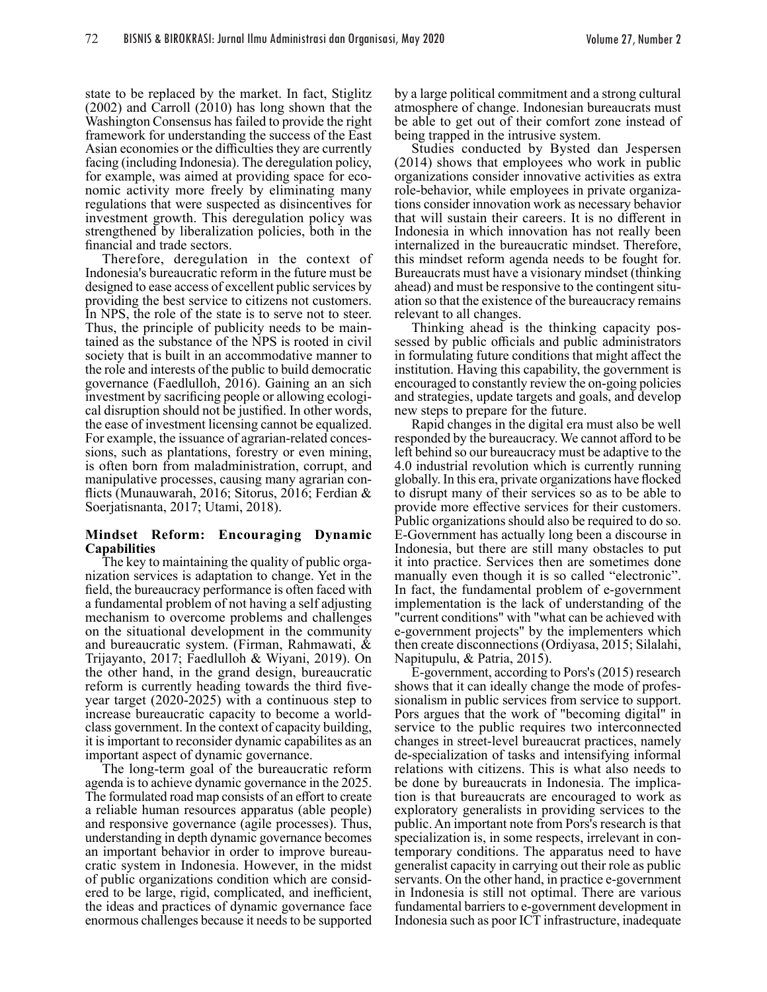state to be replaced by the market. In fact, Stiglitz (2002) and Carroll (2010) has long shown that the Washington Consensus has failed to provide the right framework for understanding the success of the East Asian economies or the difficulties they are currently facing (including Indonesia). The deregulation policy, for example, was aimed at providing space for eco- nomic activity more freely by eliminating many regulations that were suspected as disincentives for investment growth. This deregulation policy was strengthened by liberalization policies, both in the financial and trade sectors.

Therefore, deregulation in the context of Indonesia's bureaucratic reform in the future must be designed to ease access of excellent public services by providing the best service to citizens not customers. In NPS, the role of the state is to serve not to steer. Thus, the principle of publicity needs to be maintained as the substance of the NPS is rooted in civil society that is built in an accommodative manner to the role and interests of the public to build democratic governance (Faedlulloh, 2016). Gaining an an sich investment by sacrificing people or allowing ecological disruption should not be justified. In other words, the ease of investment licensing cannot be equalized. For example, the issuance of agrarian-related conces sions, such as plantations, forestry or even mining, is often born from maladministration, corrupt, and manipulative processes, causing many agrarian con- flicts (Munauwarah, 2016; Sitorus, 2016; Ferdian & Soerjatisnanta, 2017; Utami, 2018).

# **Mindset Reform: Encouraging Dynamic Capabilities**<br>The key to maintaining the quality of public orga-

nization services is adaptation to change. Yet in the field, the bureaucracy performance is often faced with a fundamental problem of not having a self adjusting mechanism to overcome problems and challenges on the situational development in the community and bureaucratic system. (Firman, Rahmawati, & Trijayanto, 2017; Faedlulloh & Wiyani, 2019). On the other hand, in the grand design, bureaucratic reform is currently heading towards the third fiveyear target (2020-2025) with a continuous step to increase bureaucratic capacity to become a worldclass government. In the context of capacity building, it is important to reconsider dynamic capabilites as an important aspect of dynamic governance.

The long-term goal of the bureaucratic reform agenda is to achieve dynamic governance in the 2025. The formulated road map consists of an effort to create a reliable human resources apparatus (able people) and responsive governance (agile processes). Thus, understanding in depth dynamic governance becomes an important behavior in order to improve bureaucratic system in Indonesia. However, in the midst of public organizations condition which are considered to be large, rigid, complicated, and inefficient, the ideas and practices of dynamic governance face enormous challenges because it needs to be supported by a large political commitment and a strong cultural atmosphere of change. Indonesian bureaucrats must be able to get out of their comfort zone instead of being trapped in the intrusive system.

Studies conducted by Bysted dan Jespersen (2014) shows that employees who work in public organizations consider innovative activities as extra role-behavior, while employees in private organiza tions consider innovation work as necessary behavior that will sustain their careers. It is no different in Indonesia in which innovation has not really been internalized in the bureaucratic mindset. Therefore, this mindset reform agenda needs to be fought for. Bureaucrats must have a visionary mindset (thinking ahead) and must be responsive to the contingent situ ation so that the existence of the bureaucracy remains relevant to all changes.

Thinking ahead is the thinking capacity possessed by public officials and public administrators in formulating future conditions that might affect the institution. Having this capability, the government is encouraged to constantly review the on-going policies and strategies, update targets and goals, and develop new steps to prepare for the future.

Rapid changes in the digital era must also be well responded by the bureaucracy. We cannot afford to be left behind so our bureaucracy must be adaptive to the 4.0 industrial revolution which is currently running globally. In this era, private organizations have flocked to disrupt many of their services so as to be able to provide more effective services for their customers. Public organizations should also be required to do so. E-Government has actually long been a discourse in Indonesia, but there are still many obstacles to put it into practice. Services then are sometimes done manually even though it is so called "electronic". In fact, the fundamental problem of e-government implementation is the lack of understanding of the "current conditions" with "what can be achieved with e-government projects" by the implementers which then create disconnections (Ordiyasa, 2015; Silalahi, Napitupulu, & Patria, 2015).

E-government, according to Pors's (2015) research shows that it can ideally change the mode of professionalism in public services from service to support. Pors argues that the work of "becoming digital" in service to the public requires two interconnected changes in street-level bureaucrat practices, namely de-specialization of tasks and intensifying informal relations with citizens. This is what also needs to be done by bureaucrats in Indonesia. The implication is that bureaucrats are encouraged to work as exploratory generalists in providing services to the public. An important note from Pors's research is that specialization is, in some respects, irrelevant in contemporary conditions. The apparatus need to have generalist capacity in carrying out their role as public servants. On the other hand, in practice e-government in Indonesia is still not optimal. There are various fundamental barriers to e-government development in Indonesia such as poor ICT infrastructure, inadequate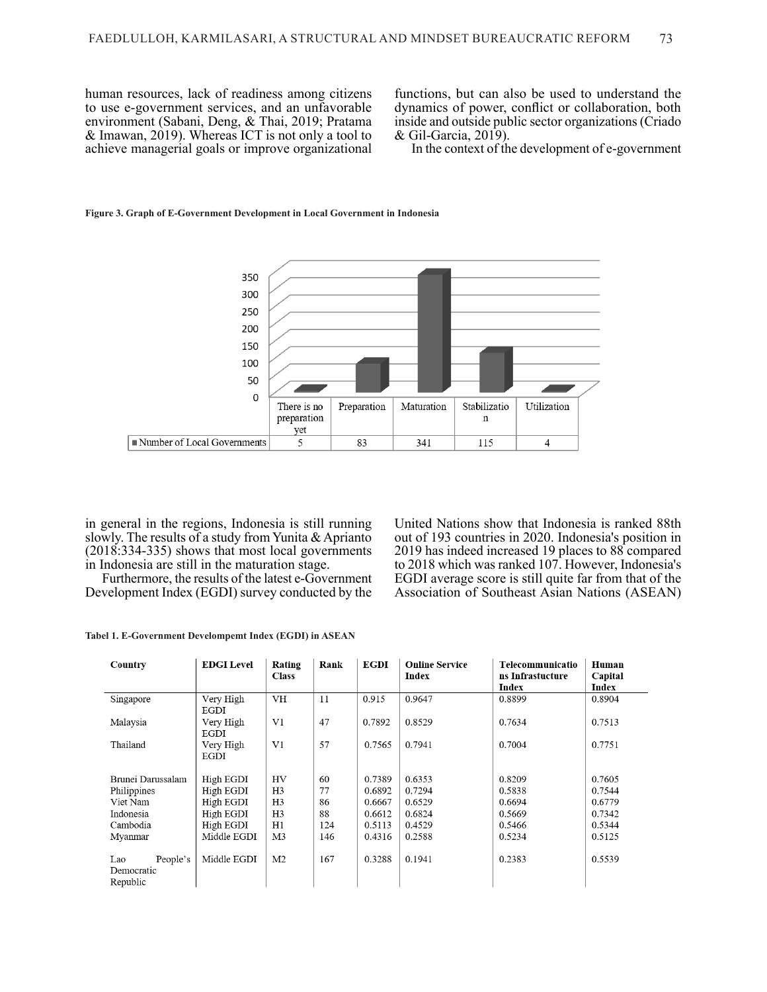human resources, lack of readiness among citizens to use e-government services, and an unfavorable environment (Sabani, Deng, & Thai, 2019; Pratama & Imawan, 2019). Whereas ICT is not only a tool to achieve managerial goals or improve organizational functions, but can also be used to understand the dynamics of power, conflict or collaboration, both inside and outside public sector organizations (Criado & Gil-Garcia, 2019).

In the context of the development of e-government



#### **Figure 3. Graph of E-Government Development in Local Government in Indonesia**

in general in the regions, Indonesia is still running slowly. The results of a study from Yunita & Aprianto (2018:334-335) shows that most local governments in Indonesia are still in the maturation stage.

Furthermore, the results of the latest e-Government Development Index (EGDI) survey conducted by the United Nations show that Indonesia is ranked 88th out of 193 countries in 2020. Indonesia's position in 2019 has indeed increased 19 places to 88 compared to 2018 which was ranked 107. However, Indonesia's EGDI average score is still quite far from that of the Association of Southeast Asian Nations (ASEAN)

**Tabel 1. E-Government Develompemt Index (EGDI) in ASEAN**

| Country                                   | <b>EDGI</b> Level | Rating<br><b>Class</b> | Rank | <b>EGDI</b> | <b>Online Service</b><br>Index | Telecommunicatio<br>ns Infrastucture<br>Index | Human<br>Capital<br>Index |
|-------------------------------------------|-------------------|------------------------|------|-------------|--------------------------------|-----------------------------------------------|---------------------------|
| Singapore                                 | Very High<br>EGDI | <b>VH</b>              | 11   | 0.915       | 0.9647                         | 0.8899                                        | 0.8904                    |
| Malaysia                                  | Very High<br>EGDI | V1                     | 47   | 0.7892      | 0.8529                         | 0.7634                                        | 0.7513                    |
| Thailand                                  | Very High<br>EGDI | V1                     | 57   | 0.7565      | 0.7941                         | 0.7004                                        | 0.7751                    |
| Brunei Darussalam                         | High EGDI         | HV                     | 60   | 0.7389      | 0.6353                         | 0.8209                                        | 0.7605                    |
| Philippines                               | High EGDI         | H <sub>3</sub>         | 77   | 0.6892      | 0.7294                         | 0.5838                                        | 0.7544                    |
| Viet Nam                                  | High EGDI         | H3                     | 86   | 0.6667      | 0.6529                         | 0.6694                                        | 0.6779                    |
| Indonesia                                 | High EGDI         | H <sub>3</sub>         | 88   | 0.6612      | 0.6824                         | 0.5669                                        | 0.7342                    |
| Cambodia                                  | High EGDI         | H1                     | 124  | 0.5113      | 0.4529                         | 0.5466                                        | 0.5344                    |
| Myanmar                                   | Middle EGDI       | M3                     | 146  | 0.4316      | 0.2588                         | 0.5234                                        | 0.5125                    |
| People's<br>Lao<br>Democratic<br>Republic | Middle EGDI       | M <sub>2</sub>         | 167  | 0.3288      | 0.1941                         | 0.2383                                        | 0.5539                    |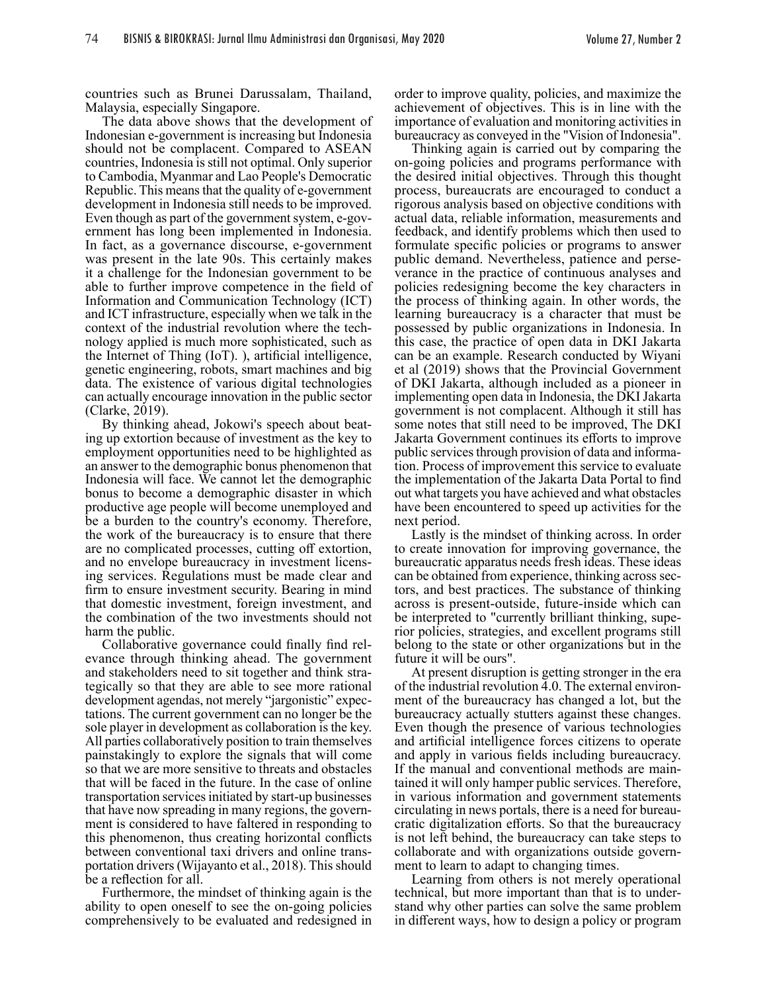countries such as Brunei Darussalam, Thailand, Malaysia, especially Singapore.

The data above shows that the development of Indonesian e-government is increasing but Indonesia should not be complacent. Compared to ASEAN countries, Indonesia is still not optimal. Only superior to Cambodia, Myanmar and Lao People's Democratic Republic. This means that the quality of e-government development in Indonesia still needs to be improved. Even though as part of the government system, e-gov- ernment has long been implemented in Indonesia. In fact, as a governance discourse, e-government was present in the late 90s. This certainly makes it a challenge for the Indonesian government to be able to further improve competence in the field of Information and Communication Technology (ICT) and ICT infrastructure, especially when we talk in the context of the industrial revolution where the tech- nology applied is much more sophisticated, such as the Internet of Thing (IoT). ), artificial intelligence, genetic engineering, robots, smart machines and big data. The existence of various digital technologies can actually encourage innovation in the public sector (Clarke, 2019).

By thinking ahead, Jokowi's speech about beat- ing up extortion because of investment as the key to employment opportunities need to be highlighted as an answer to the demographic bonus phenomenon that Indonesia will face. We cannot let the demographic bonus to become a demographic disaster in which productive age people will become unemployed and be a burden to the country's economy. Therefore, the work of the bureaucracy is to ensure that there are no complicated processes, cutting off extortion, and no envelope bureaucracy in investment licensing services. Regulations must be made clear and firm to ensure investment security. Bearing in mind that domestic investment, foreign investment, and the combination of the two investments should not harm the public.

Collaborative governance could finally find relevance through thinking ahead. The government and stakeholders need to sit together and think strategically so that they are able to see more rational development agendas, not merely "jargonistic" expectations. The current government can no longer be the sole player in development as collaboration is the key. All parties collaboratively position to train themselves painstakingly to explore the signals that will come so that we are more sensitive to threats and obstacles that will be faced in the future. In the case of online transportation services initiated by start-up businesses that have now spreading in many regions, the government is considered to have faltered in responding to this phenomenon, thus creating horizontal conflicts between conventional taxi drivers and online transportation drivers (Wijayanto et al., 2018). This should be a reflection for all.

Furthermore, the mindset of thinking again is the ability to open oneself to see the on-going policies comprehensively to be evaluated and redesigned in order to improve quality, policies, and maximize the achievement of objectives. This is in line with the importance of evaluation and monitoring activities in bureaucracy as conveyed in the "Vision of Indonesia".

Thinking again is carried out by comparing the on-going policies and programs performance with the desired initial objectives. Through this thought process, bureaucrats are encouraged to conduct a rigorous analysis based on objective conditions with actual data, reliable information, measurements and feedback, and identify problems which then used to formulate specific policies or programs to answer public demand. Nevertheless, patience and perse- verance in the practice of continuous analyses and policies redesigning become the key characters in the process of thinking again. In other words, the learning bureaucracy is a character that must be possessed by public organizations in Indonesia. In this case, the practice of open data in DKI Jakarta can be an example. Research conducted by Wiyani et al (2019) shows that the Provincial Government of DKI Jakarta, although included as a pioneer in implementing open data in Indonesia, the DKI Jakarta government is not complacent. Although it still has some notes that still need to be improved, The DKI Jakarta Government continues its efforts to improve public services through provision of data and information. Process of improvement this service to evaluate the implementation of the Jakarta Data Portal to find out what targets you have achieved and what obstacles have been encountered to speed up activities for the next period.

Lastly is the mindset of thinking across. In order to create innovation for improving governance, the bureaucratic apparatus needs fresh ideas. These ideas can be obtained from experience, thinking across sectors, and best practices. The substance of thinking across is present-outside, future-inside which can be interpreted to "currently brilliant thinking, superior policies, strategies, and excellent programs still belong to the state or other organizations but in the future it will be ours".

At present disruption is getting stronger in the era of the industrial revolution 4.0. The external environment of the bureaucracy has changed a lot, but the bureaucracy actually stutters against these changes. Even though the presence of various technologies and artificial intelligence forces citizens to operate and apply in various fields including bureaucracy. If the manual and conventional methods are maintained it will only hamper public services. Therefore, in various information and government statements circulating in news portals, there is a need for bureau cratic digitalization efforts. So that the bureaucracy is not left behind, the bureaucracy can take steps to collaborate and with organizations outside government to learn to adapt to changing times.

Learning from others is not merely operational technical, but more important than that is to understand why other parties can solve the same problem in different ways, how to design a policy or program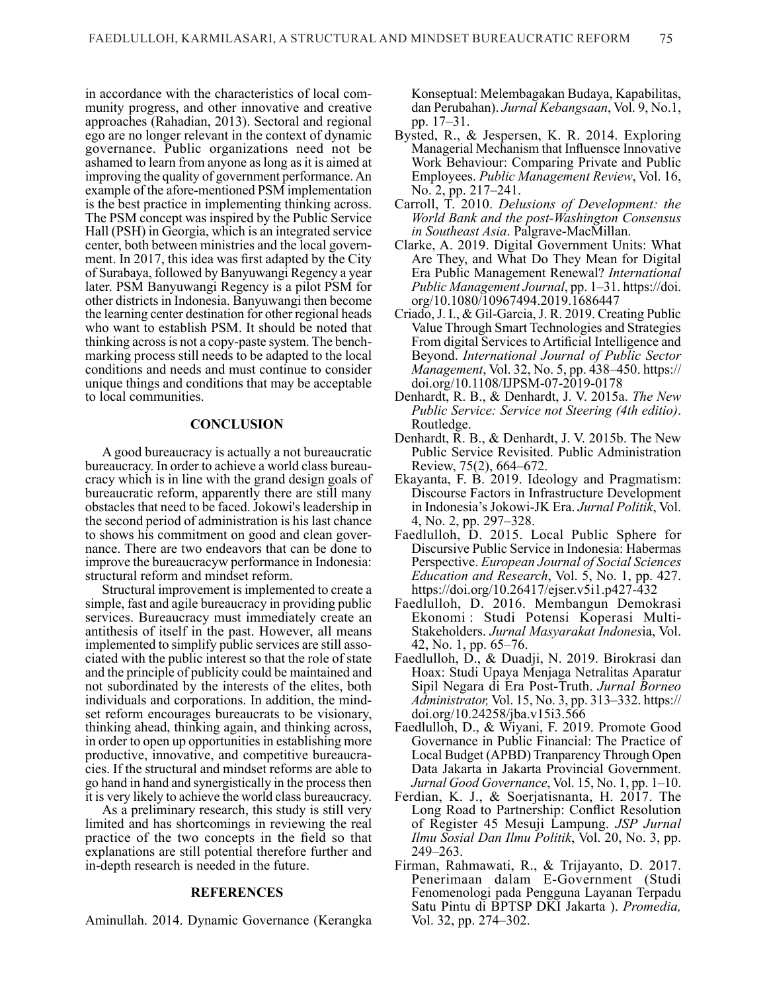in accordance with the characteristics of local community progress, and other innovative and creative approaches (Rahadian, 2013). Sectoral and regional ego are no longer relevant in the context of dynamic governance. Public organizations need not be ashamed to learn from anyone as long as it is aimed at improving the quality of government performance. An example of the afore-mentioned PSM implementation is the best practice in implementing thinking across. The PSM concept was inspired by the Public Service Hall (PSH) in Georgia, which is an integrated service center, both between ministries and the local govern ment. In 2017, this idea was first adapted by the City of Surabaya, followed by Banyuwangi Regency a year later. PSM Banyuwangi Regency is a pilot PSM for other districts in Indonesia. Banyuwangi then become the learning center destination for other regional heads who want to establish PSM. It should be noted that thinking across is not a copy-paste system. The bench marking process still needs to be adapted to the local conditions and needs and must continue to consider unique things and conditions that may be acceptable to local communities.

#### **CONCLUSION**

A good bureaucracy is actually a not bureaucratic bureaucracy. In order to achieve a world class bureaucracy which is in line with the grand design goals of bureaucratic reform, apparently there are still many obstacles that need to be faced. Jokowi's leadership in the second period of administration is his last chance to shows his commitment on good and clean governance. There are two endeavors that can be done to improve the bureaucracyw performance in Indonesia: structural reform and mindset reform.

Structural improvement is implemented to create a simple, fast and agile bureaucracy in providing public services. Bureaucracy must immediately create an antithesis of itself in the past. However, all means implemented to simplify public services are still associated with the public interest so that the role of state and the principle of publicity could be maintained and not subordinated by the interests of the elites, both individuals and corporations. In addition, the mindset reform encourages bureaucrats to be visionary, thinking ahead, thinking again, and thinking across, in order to open up opportunities in establishing more productive, innovative, and competitive bureaucracies. If the structural and mindset reforms are able to go hand in hand and synergistically in the process then it is very likely to achieve the world class bureaucracy.

As a preliminary research, this study is still very limited and has shortcomings in reviewing the real practice of the two concepts in the field so that explanations are still potential therefore further and in-depth research is needed in the future.

#### **REFERENCES**

Aminullah. 2014. Dynamic Governance (Kerangka

Konseptual: Melembagakan Budaya, Kapabilitas, dan Perubahan). *Jurnal Kebangsaan*, Vol. 9, No.1, pp. 17–31.

- Bysted, R., & Jespersen, K. R. 2014. Exploring Managerial Mechanism that Influensce Innovative Work Behaviour: Comparing Private and Public Employees. *Public Management Review*, Vol. 16, No. 2, pp. 217–241.
- Carroll, T. 2010. *Delusions of Development: the World Bank and the post-Washington Consensus in Southeast Asia*. Palgrave-MacMillan.
- Clarke, A. 2019. Digital Government Units: What Are They, and What Do They Mean for Digital Era Public Management Renewal? *International Public Management Journal*, pp. 1–31. https://doi. org/10.1080/10967494.2019.1686447
- Criado, J. I., & Gil-Garcia, J. R. 2019. Creating Public Value Through Smart Technologies and Strategies From digital Services to Artificial Intelligence and Beyond. *International Journal of Public Sector Management*, Vol. 32, No. 5, pp. 438–450. https:// doi.org/10.1108/IJPSM-07-2019-0178
- Denhardt, R. B., & Denhardt, J. V. 2015a. *The New Public Service: Service not Steering (4th editio)*. Routledge.
- Denhardt, R. B., & Denhardt, J. V. 2015b. The New Public Service Revisited. Public Administration Review, 75(2), 664–672.
- Ekayanta, F. B. 2019. Ideology and Pragmatism: Discourse Factors in Infrastructure Development in Indonesia's Jokowi-JK Era. *Jurnal Politik*, Vol. 4, No. 2, pp. 297–328.
- Faedlulloh, D. 2015. Local Public Sphere for Discursive Public Service in Indonesia: Habermas Perspective. *European Journal of Social Sciences Education and Research*, Vol. 5, No. 1, pp. 427. https://doi.org/10.26417/ejser.v5i1.p427-432
- Faedlulloh, D. 2016. Membangun Demokrasi Ekonomi : Studi Potensi Koperasi Multi-Stakeholders. *Jurnal Masyarakat Indones*ia, Vol. 42, No. 1, pp. 65–76.
- Faedlulloh, D., & Duadji, N. 2019. Birokrasi dan Hoax: Studi Upaya Menjaga Netralitas Aparatur Sipil Negara di Era Post-Truth. *Jurnal Borneo Administrator,* Vol. 15, No. 3, pp. 313–332. https:// doi.org/10.24258/jba.v15i3.566
- Faedlulloh, D., & Wiyani, F. 2019. Promote Good Governance in Public Financial: The Practice of Local Budget (APBD) Tranparency Through Open Data Jakarta in Jakarta Provincial Government. *Jurnal Good Governance*, Vol. 15, No. 1, pp. 1–10.
- Ferdian, K. J., & Soerjatisnanta, H. 2017. The Long Road to Partnership: Conflict Resolution of Register 45 Mesuji Lampung. *JSP Jurnal Ilmu Sosial Dan Ilmu Politik*, Vol. 20, No. 3, pp. 249–263.
- Firman, Rahmawati, R., & Trijayanto, D. 2017. Penerimaan dalam E-Government (Studi Fenomenologi pada Pengguna Layanan Terpadu Satu Pintu di BPTSP DKI Jakarta ). *Promedia,*  Vol. 32, pp. 274–302.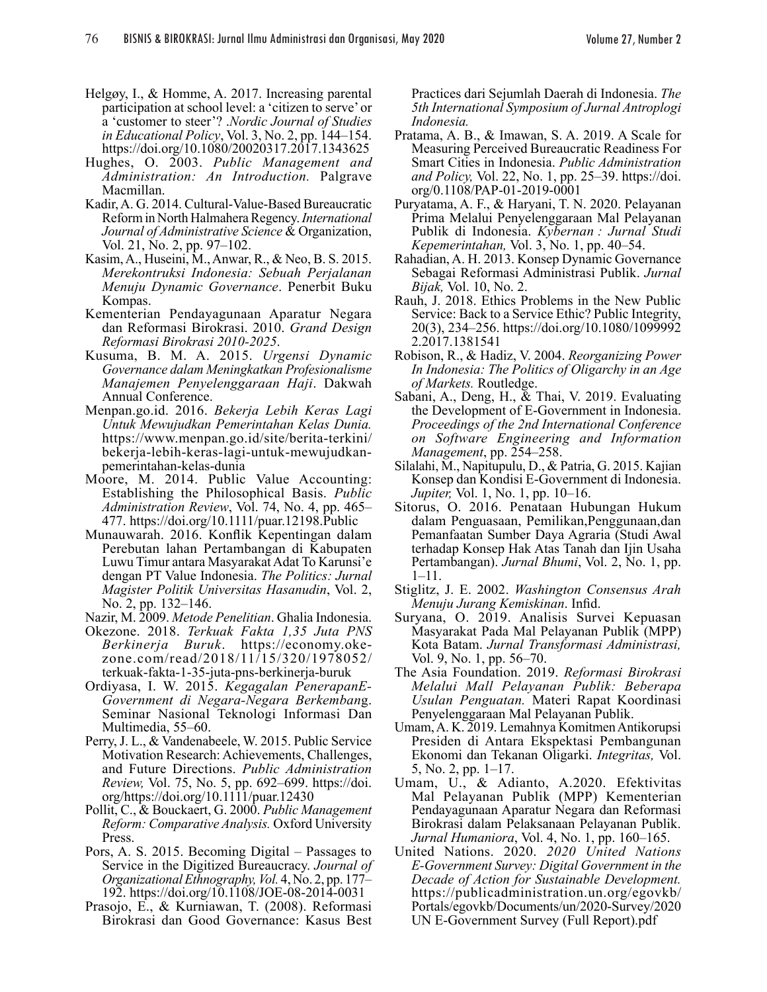- Helgøy, I., & Homme, A. 2017. Increasing parental participation at school level: a 'citizen to serve' or a 'customer to steer'? .*Nordic Journal of Studies in Educational Policy*, Vol. 3, No. 2, pp. 144–154. https://doi.org/10.1080/20020317.2017.1343625
- Hughes, O. 2003. *Public Management and Administration: An Introduction.* Palgrave Macmillan.
- Kadir, A. G. 2014. Cultural-Value-Based Bureaucratic Reform in North Halmahera Regency. *International Journal of Administrative Science* & Organization, Vol. 21, No. 2, pp. 97–102.
- Kasim, A., Huseini, M., Anwar, R., & Neo, B. S. 2015. *Merekontruksi Indonesia: Sebuah Perjalanan Menuju Dynamic Governance*. Penerbit Buku Kompas.
- Kementerian Pendayagunaan Aparatur Negara dan Reformasi Birokrasi. 2010. *Grand Design Reformasi Birokrasi 2010-2025*. Kusuma, B. M. A. 2015. *Urgensi Dynamic*
- *Governance dalam Meningkatkan Profesionalisme Manajemen Penyelenggaraan Haji*. Dakwah Annual Conference.
- Menpan.go.id. 2016. *Bekerja Lebih Keras Lagi Untuk Mewujudkan Pemerintahan Kelas Dunia.* https://www.menpan.go.id/site/berita-terkini/ bekerja-lebih-keras-lagi-untuk-mewujudkanpemerintahan-kelas-dunia
- Moore, M. 2014. Public Value Accounting: Establishing the Philosophical Basis. *Public Administration Review*, Vol. 74, No. 4, pp. 465– 477. https://doi.org/10.1111/puar.12198.Public
- Munauwarah. 2016. Konflik Kepentingan dalam Perebutan lahan Pertambangan di Kabupaten Luwu Timur antara Masyarakat Adat To Karunsi'e dengan PT Value Indonesia. *The Politics: Jurnal Magister Politik Universitas Hasanudin*, Vol. 2, No. 2, pp. 132–146.
- Nazir, M. 2009. *Metode Penelitian*. Ghalia Indonesia.
- Okezone. 2018. *Terkuak Fakta 1,35 Juta PNS Berkinerja Buruk*. https://economy.okezone.com/read/2018/11/15/320/1978052/ terkuak-fakta-1-35-juta-pns-berkinerja-buruk
- Ordiyasa, I. W. 2015. *Kegagalan PenerapanE-Government di Negara-Negara Berkemban*g. Seminar Nasional Teknologi Informasi Dan Multimedia, 55–60.
- Perry, J. L., & Vandenabeele, W. 2015. Public Service Motivation Research: Achievements, Challenges, and Future Directions. *Public Administration Review,* Vol. 75, No. 5, pp. 692–699. https://doi. org/https://doi.org/10.1111/puar.12430
- Pollit, C., & Bouckaert, G. 2000. *Public Management Reform: Comparative Analysis.* Oxford University Press.
- Pors, A. S. 2015. Becoming Digital Passages to Service in the Digitized Bureaucracy. *Journal of Organizational Ethnography, Vol.* 4, No. 2, pp. 177– 192. https://doi.org/10.1108/JOE-08-2014-0031
- Prasojo, E., & Kurniawan, T. (2008). Reformasi Birokrasi dan Good Governance: Kasus Best

Practices dari Sejumlah Daerah di Indonesia. *The 5th International Symposium of Jurnal Antroplogi Indonesia.*

- Pratama, A. B., & Imawan, S. A. 2019. A Scale for Measuring Perceived Bureaucratic Readiness For Smart Cities in Indonesia. *Public Administration and Policy,* Vol. 22, No. 1, pp. 25–39. https://doi. org/0.1108/PAP-01-2019-0001
- Puryatama, A. F., & Haryani, T. N. 2020. Pelayanan Prima Melalui Penyelenggaraan Mal Pelayanan Publik di Indonesia. *Kybernan : Jurnal Studi Kepemerintahan,* Vol. 3, No. 1, pp. 40–54.
- Rahadian, A. H. 2013. Konsep Dynamic Governance Sebagai Reformasi Administrasi Publik. *Jurnal Bijak,* Vol. 10, No. 2.
- Rauh, J. 2018. Ethics Problems in the New Public Service: Back to a Service Ethic? Public Integrity, 20(3), 234–256. https://doi.org/10.1080/1099992 2.2017.1381541
- Robison, R., & Hadiz, V. 2004. *Reorganizing Power In Indonesia: The Politics of Oligarchy in an Age of Markets.* Routledge.
- Sabani, A., Deng, H., & Thai, V. 2019. Evaluating the Development of E-Government in Indonesia. *Proceedings of the 2nd International Conference on Software Engineering and Information Management*, pp. 254–258.
- Silalahi, M., Napitupulu, D., & Patria, G. 2015. Kajian Konsep dan Kondisi E-Government di Indonesia. *Jupiter,* Vol. 1, No. 1, pp. 10–16.
- Sitorus, O. 2016. Penataan Hubungan Hukum dalam Penguasaan, Pemilikan,Penggunaan,dan Pemanfaatan Sumber Daya Agraria (Studi Awal terhadap Konsep Hak Atas Tanah dan Ijin Usaha Pertambangan). *Jurnal Bhumi*, Vol. 2, No. 1, pp. 1–11.
- Stiglitz, J. E. 2002. *Washington Consensus Arah Menuju Jurang Kemiskinan*. Infid.
- Suryana, O. 2019. Analisis Survei Kepuasan Masyarakat Pada Mal Pelayanan Publik (MPP) Kota Batam. *Jurnal Transformasi Administrasi,* Vol. 9, No. 1, pp. 56–70.
- The Asia Foundation. 2019. *Reformasi Birokrasi Melalui Mall Pelayanan Publik: Beberapa Usulan Penguatan.* Materi Rapat Koordinasi Penyelenggaraan Mal Pelayanan Publik.
- Umam, A. K. 2019. Lemahnya Komitmen Antikorupsi Presiden di Antara Ekspektasi Pembangunan Ekonomi dan Tekanan Oligarki. *Integritas,* Vol. 5, No. 2, pp. 1–17.
- Umam, U., & Adianto, A.2020. Efektivitas Mal Pelayanan Publik (MPP) Kementerian Pendayagunaan Aparatur Negara dan Reformasi Birokrasi dalam Pelaksanaan Pelayanan Publik. *Jurnal Humaniora*, Vol. 4, No. 1, pp. 160–165.
- United Nations. 2020. *2020 United Nations E-Government Survey: Digital Government in the Decade of Action for Sustainable Development.* https://publicadministration.un.org/egovkb/ Portals/egovkb/Documents/un/2020-Survey/2020 UN E-Government Survey (Full Report).pdf